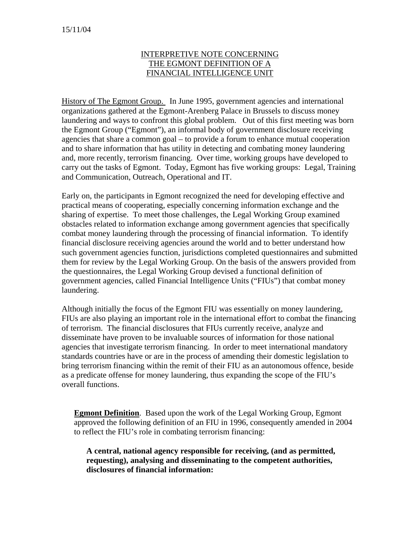## INTERPRETIVE NOTE CONCERNING THE EGMONT DEFINITION OF A FINANCIAL INTELLIGENCE UNIT

History of The Egmont Group. In June 1995, government agencies and international organizations gathered at the Egmont-Arenberg Palace in Brussels to discuss money laundering and ways to confront this global problem. Out of this first meeting was born the Egmont Group ("Egmont"), an informal body of government disclosure receiving agencies that share a common goal – to provide a forum to enhance mutual cooperation and to share information that has utility in detecting and combating money laundering and, more recently, terrorism financing. Over time, working groups have developed to carry out the tasks of Egmont. Today, Egmont has five working groups: Legal, Training and Communication, Outreach, Operational and IT.

Early on, the participants in Egmont recognized the need for developing effective and practical means of cooperating, especially concerning information exchange and the sharing of expertise. To meet those challenges, the Legal Working Group examined obstacles related to information exchange among government agencies that specifically combat money laundering through the processing of financial information. To identify financial disclosure receiving agencies around the world and to better understand how such government agencies function, jurisdictions completed questionnaires and submitted them for review by the Legal Working Group. On the basis of the answers provided from the questionnaires, the Legal Working Group devised a functional definition of government agencies, called Financial Intelligence Units ("FIUs") that combat money laundering.

Although initially the focus of the Egmont FIU was essentially on money laundering, FIUs are also playing an important role in the international effort to combat the financing of terrorism. The financial disclosures that FIUs currently receive, analyze and disseminate have proven to be invaluable sources of information for those national agencies that investigate terrorism financing. In order to meet international mandatory standards countries have or are in the process of amending their domestic legislation to bring terrorism financing within the remit of their FIU as an autonomous offence, beside as a predicate offense for money laundering, thus expanding the scope of the FIU's overall functions.

**Egmont Definition**. Based upon the work of the Legal Working Group, Egmont approved the following definition of an FIU in 1996, consequently amended in 2004 to reflect the FIU's role in combating terrorism financing:

**A central, national agency responsible for receiving, (and as permitted, requesting), analysing and disseminating to the competent authorities, disclosures of financial information:**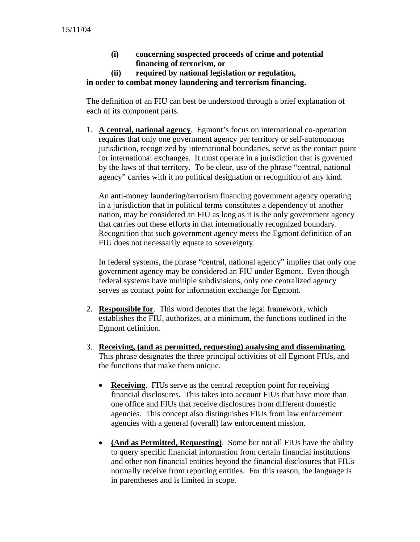**(i) concerning suspected proceeds of crime and potential financing of terrorism, or** 

## **(ii) required by national legislation or regulation, in order to combat money laundering and terrorism financing.**

The definition of an FIU can best be understood through a brief explanation of each of its component parts.

1. **A central, national agency**. Egmont's focus on international co-operation requires that only one government agency per territory or self-autonomous jurisdiction, recognized by international boundaries, serve as the contact point for international exchanges. It must operate in a jurisdiction that is governed by the laws of that territory. To be clear, use of the phrase "central, national agency" carries with it no political designation or recognition of any kind.

An anti-money laundering/terrorism financing government agency operating in a jurisdiction that in political terms constitutes a dependency of another nation, may be considered an FIU as long as it is the only government agency that carries out these efforts in that internationally recognized boundary. Recognition that such government agency meets the Egmont definition of an FIU does not necessarily equate to sovereignty.

In federal systems, the phrase "central, national agency" implies that only one government agency may be considered an FIU under Egmont. Even though federal systems have multiple subdivisions, only one centralized agency serves as contact point for information exchange for Egmont.

- 2. **Responsible for**. This word denotes that the legal framework, which establishes the FIU, authorizes, at a minimum, the functions outlined in the Egmont definition.
- 3. **Receiving, (and as permitted, requesting) analysing and disseminating**. This phrase designates the three principal activities of all Egmont FIUs, and the functions that make them unique.
	- **Receiving.** FIUs serve as the central reception point for receiving financial disclosures. This takes into account FIUs that have more than one office and FIUs that receive disclosures from different domestic agencies. This concept also distinguishes FIUs from law enforcement agencies with a general (overall) law enforcement mission.
	- **(And as Permitted, Requesting)**. Some but not all FIUs have the ability to query specific financial information from certain financial institutions and other non financial entities beyond the financial disclosures that FIUs normally receive from reporting entities. For this reason, the language is in parentheses and is limited in scope.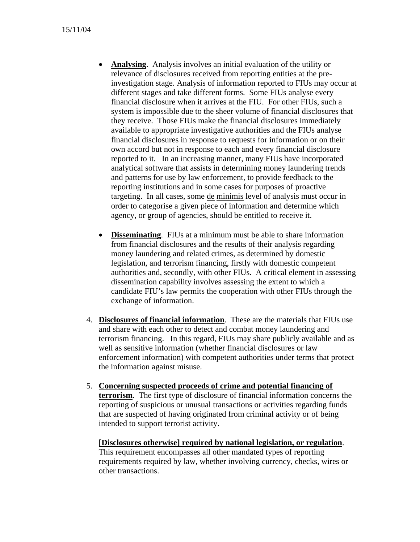- **Analysing**. Analysis involves an initial evaluation of the utility or relevance of disclosures received from reporting entities at the preinvestigation stage. Analysis of information reported to FIUs may occur at different stages and take different forms. Some FIUs analyse every financial disclosure when it arrives at the FIU. For other FIUs, such a system is impossible due to the sheer volume of financial disclosures that they receive. Those FIUs make the financial disclosures immediately available to appropriate investigative authorities and the FIUs analyse financial disclosures in response to requests for information or on their own accord but not in response to each and every financial disclosure reported to it. In an increasing manner, many FIUs have incorporated analytical software that assists in determining money laundering trends and patterns for use by law enforcement, to provide feedback to the reporting institutions and in some cases for purposes of proactive targeting. In all cases, some de minimis level of analysis must occur in order to categorise a given piece of information and determine which agency, or group of agencies, should be entitled to receive it.
- **Disseminating**. FIUs at a minimum must be able to share information from financial disclosures and the results of their analysis regarding money laundering and related crimes, as determined by domestic legislation, and terrorism financing, firstly with domestic competent authorities and, secondly, with other FIUs. A critical element in assessing dissemination capability involves assessing the extent to which a candidate FIU's law permits the cooperation with other FIUs through the exchange of information.
- 4. **Disclosures of financial information**. These are the materials that FIUs use and share with each other to detect and combat money laundering and terrorism financing. In this regard, FIUs may share publicly available and as well as sensitive information (whether financial disclosures or law enforcement information) with competent authorities under terms that protect the information against misuse.
- 5. **Concerning suspected proceeds of crime and potential financing of terrorism**. The first type of disclosure of financial information concerns the reporting of suspicious or unusual transactions or activities regarding funds that are suspected of having originated from criminal activity or of being intended to support terrorist activity.

**[Disclosures otherwise] required by national legislation, or regulation**. This requirement encompasses all other mandated types of reporting requirements required by law, whether involving currency, checks, wires or other transactions.